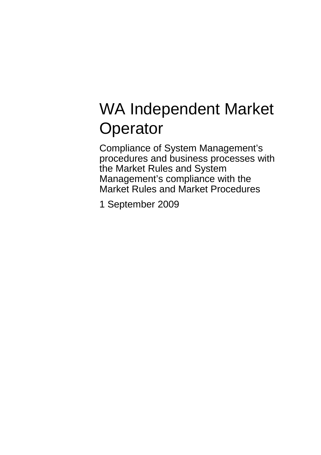# WA Independent Market **Operator**

Compliance of System Management's procedures and business processes with the Market Rules and System Management's compliance with the Market Rules and Market Procedures

1 September 2009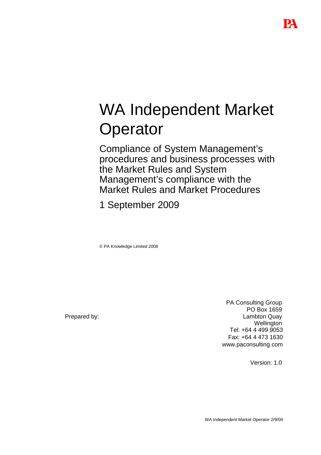# WA Independent Market **Operator**

Compliance of System Management's procedures and business processes with the Market Rules and System Management's compliance with the Market Rules and Market Procedures

1 September 2009

© PA Knowledge Limited 2008

Prepared by:

PA Consulting Group PO Box 1659 Lambton Quay **Wellington** Tel: +64 4 499 9053 Fax: +64 4 473 1630 www.paconsulting.com

Version: 1.0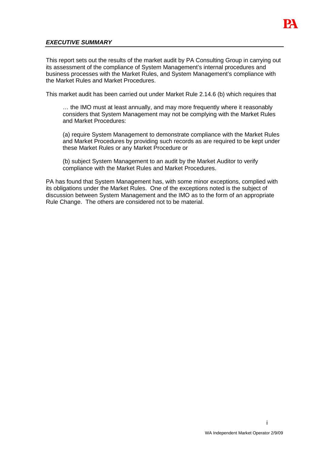

## **EXECUTIVE SUMMARY**

This report sets out the results of the market audit by PA Consulting Group in carrying out its assessment of the compliance of System Management's internal procedures and business processes with the Market Rules, and System Management's compliance with the Market Rules and Market Procedures.

This market audit has been carried out under Market Rule 2.14.6 (b) which requires that

… the IMO must at least annually, and may more frequently where it reasonably considers that System Management may not be complying with the Market Rules and Market Procedures:

(a) require System Management to demonstrate compliance with the Market Rules and Market Procedures by providing such records as are required to be kept under these Market Rules or any Market Procedure or

(b) subject System Management to an audit by the Market Auditor to verify compliance with the Market Rules and Market Procedures.

PA has found that System Management has, with some minor exceptions, complied with its obligations under the Market Rules. One of the exceptions noted is the subject of discussion between System Management and the IMO as to the form of an appropriate Rule Change. The others are considered not to be material.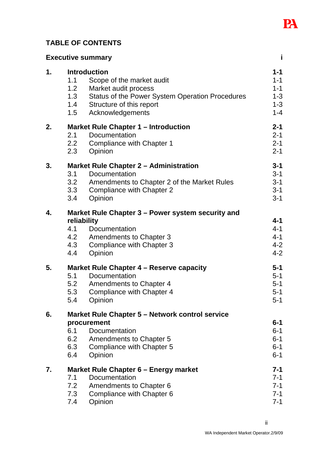

## **TABLE OF CONTENTS**

|    | <b>Executive summary</b>                                                                                                                                                                                       | j                                                              |
|----|----------------------------------------------------------------------------------------------------------------------------------------------------------------------------------------------------------------|----------------------------------------------------------------|
| 1. | <b>Introduction</b><br>1.1<br>Scope of the market audit<br>1.2<br>Market audit process<br>1.3<br>Status of the Power System Operation Procedures<br>Structure of this report<br>1.4<br>Acknowledgements<br>1.5 | $1 - 1$<br>$1 - 1$<br>$1 - 1$<br>$1 - 3$<br>$1 - 3$<br>$1 - 4$ |
| 2. | <b>Market Rule Chapter 1 - Introduction</b><br>2.1<br>Documentation<br>2.2<br>Compliance with Chapter 1<br>2.3<br>Opinion                                                                                      | $2 - 1$<br>$2 - 1$<br>$2 - 1$<br>$2 - 1$                       |
| 3. | <b>Market Rule Chapter 2 - Administration</b><br>3.1<br>Documentation<br>3.2<br>Amendments to Chapter 2 of the Market Rules<br>3.3<br>Compliance with Chapter 2<br>Opinion<br>3.4                              | $3 - 1$<br>$3 - 1$<br>$3 - 1$<br>$3 - 1$<br>$3 - 1$            |
| 4. | Market Rule Chapter 3 – Power system security and<br>reliability<br>4.1<br>Documentation<br>4.2<br><b>Amendments to Chapter 3</b><br>4.3<br>Compliance with Chapter 3<br>4.4<br>Opinion                        | $4 - 1$<br>$4 - 1$<br>$4 - 1$<br>$4 - 2$<br>$4 - 2$            |
| 5. | Market Rule Chapter 4 – Reserve capacity<br>5.1<br>Documentation<br>5.2<br><b>Amendments to Chapter 4</b><br>5.3<br>Compliance with Chapter 4<br>5.4<br>Opinion                                                | $5 - 1$<br>$5-1$<br>$5 - 1$<br>$5 - 1$<br>$5-1$                |
| 6. | Market Rule Chapter 5 – Network control service<br>procurement<br>6.1<br>Documentation<br>6.2<br><b>Amendments to Chapter 5</b><br>6.3<br>Compliance with Chapter 5<br>6.4<br>Opinion                          | $6 - 1$<br>$6-1$<br>$6 - 1$<br>$6 - 1$<br>$6 - 1$              |
| 7. | Market Rule Chapter 6 – Energy market<br>Documentation<br>7.1<br>7.2<br>Amendments to Chapter 6<br>7.3<br>Compliance with Chapter 6<br>7.4<br>Opinion                                                          | 7-1<br>$7 - 1$<br>$7 - 1$<br>$7 - 1$<br>$7 - 1$                |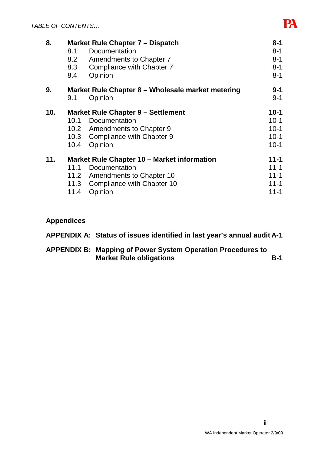

| 8.  | Market Rule Chapter 7 – Dispatch                  |                                 | $8 - 1$  |
|-----|---------------------------------------------------|---------------------------------|----------|
|     | 8.1                                               | Documentation                   | $8 - 1$  |
|     | 8.2                                               | Amendments to Chapter 7         | $8 - 1$  |
|     | 8.3                                               | Compliance with Chapter 7       | $8 - 1$  |
|     | 8.4                                               | Opinion                         | $8 - 1$  |
| 9.  | Market Rule Chapter 8 – Wholesale market metering |                                 | $9 - 1$  |
|     | 9.1                                               | Opinion                         | $9 - 1$  |
| 10. | <b>Market Rule Chapter 9 - Settlement</b>         |                                 | $10 - 1$ |
|     |                                                   | 10.1 Documentation              | $10 - 1$ |
|     |                                                   | 10.2 Amendments to Chapter 9    | $10 - 1$ |
|     |                                                   | 10.3 Compliance with Chapter 9  | $10 - 1$ |
|     | 10.4                                              | Opinion                         | $10 - 1$ |
| 11. | Market Rule Chapter 10 - Market information       |                                 | $11 - 1$ |
|     | 11.1                                              | Documentation                   | $11 - 1$ |
|     |                                                   | 11.2 Amendments to Chapter 10   | $11 - 1$ |
|     |                                                   | 11.3 Compliance with Chapter 10 | $11 - 1$ |
|     | 11.4                                              | Opinion                         | $11 - 1$ |

## **Appendices**

| APPENDIX A: Status of issues identified in last year's annual audit A-1                              |            |
|------------------------------------------------------------------------------------------------------|------------|
| <b>APPENDIX B: Mapping of Power System Operation Procedures to</b><br><b>Market Rule obligations</b> | <b>B-1</b> |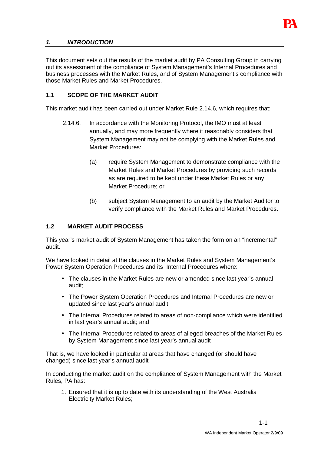

## **1. INTRODUCTION**

This document sets out the results of the market audit by PA Consulting Group in carrying out its assessment of the compliance of System Management's Internal Procedures and business processes with the Market Rules, and of System Management's compliance with those Market Rules and Market Procedures.

#### **1.1 SCOPE OF THE MARKET AUDIT**

This market audit has been carried out under Market Rule 2.14.6, which requires that:

- 2.14.6. In accordance with the Monitoring Protocol, the IMO must at least annually, and may more frequently where it reasonably considers that System Management may not be complying with the Market Rules and Market Procedures:
	- (a) require System Management to demonstrate compliance with the Market Rules and Market Procedures by providing such records as are required to be kept under these Market Rules or any Market Procedure; or
	- (b) subject System Management to an audit by the Market Auditor to verify compliance with the Market Rules and Market Procedures.

#### **1.2 MARKET AUDIT PROCESS**

This year's market audit of System Management has taken the form on an "incremental" audit.

We have looked in detail at the clauses in the Market Rules and System Management's Power System Operation Procedures and its Internal Procedures where:

- The clauses in the Market Rules are new or amended since last year's annual audit;
- The Power System Operation Procedures and Internal Procedures are new or updated since last year's annual audit;
- The Internal Procedures related to areas of non-compliance which were identified in last year's annual audit; and
- The Internal Procedures related to areas of alleged breaches of the Market Rules by System Management since last year's annual audit

That is, we have looked in particular at areas that have changed (or should have changed) since last year's annual audit

In conducting the market audit on the compliance of System Management with the Market Rules, PA has:

1. Ensured that it is up to date with its understanding of the West Australia Electricity Market Rules;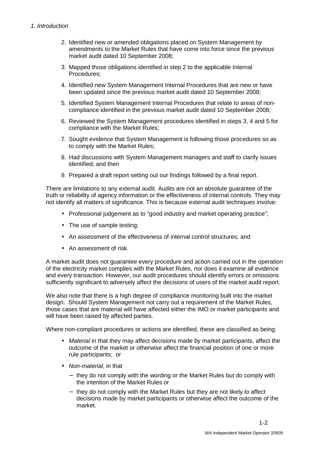- 2. Identified new or amended obligations placed on System Management by amendments to the Market Rules that have come into force since the previous market audit dated 10 September 2008;
- 3. Mapped those obligations identified in step 2 to the applicable Internal Procedures;
- 4. Identified new System Management Internal Procedures that are new or have been updated since the previous market audit dated 10 September 2008;
- 5. Identified System Management Internal Procedures that relate to areas of noncompliance identified in the previous market audit dated 10 September 2008;
- 6. Reviewed the System Management procedures identified in steps 3, 4 and 5 for compliance with the Market Rules;
- 7. Sought evidence that System Management is following those procedures so as to comply with the Market Rules;
- 8. Had discussions with System Management managers and staff to clarify issues identified; and then
- 9. Prepared a draft report setting out our findings followed by a final report.

There are limitations to any external audit. Audits are not an absolute guarantee of the truth or reliability of agency information or the effectiveness of internal controls. They may not identify all matters of significance. This is because external audit techniques involve:

- Professional judgement as to "good industry and market operating practice":
- The use of sample testing;
- An assessment of the effectiveness of internal control structures; and
- An assessment of risk.

A market audit does not guarantee every procedure and action carried out in the operation of the electricity market complies with the Market Rules, nor does it examine all evidence and every transaction. However, our audit procedures should identify errors or omissions sufficiently significant to adversely affect the decisions of users of the market audit report.

We also note that there is a high degree of compliance monitoring built into the market design. Should System Management not carry out a requirement of the Market Rules, those cases that are material will have affected either the IMO or market participants and will have been raised by affected parties.

Where non-compliant procedures or actions are identified, these are classified as being:

- Material in that they may affect decisions made by market participants, affect the outcome of the market or otherwise affect the financial position of one or more rule participants; or
- Non-material, in that
	- − they do not comply with the wording or the Market Rules but do comply with the intention of the Market Rules or
	- − they do not comply with the Market Rules but they are not likely to affect decisions made by market participants or otherwise affect the outcome of the market.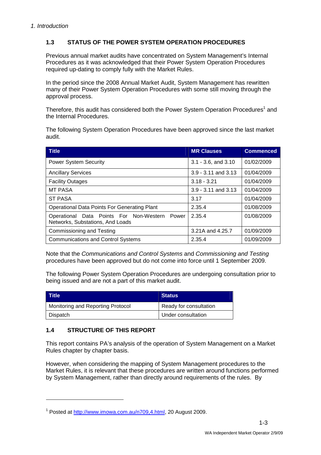## **1.3 STATUS OF THE POWER SYSTEM OPERATION PROCEDURES**

Previous annual market audits have concentrated on System Management's Internal Procedures as it was acknowledged that their Power System Operation Procedures required up-dating to comply fully with the Market Rules.

In the period since the 2008 Annual Market Audit, System Management has rewritten many of their Power System Operation Procedures with some still moving through the approval process.

Therefore, this audit has considered both the Power System Operation Procedures<sup>1</sup> and the Internal Procedures.

The following System Operation Procedures have been approved since the last market audit.

| <b>Title</b>                                                                      | <b>MR Clauses</b>        | <b>Commenced</b> |
|-----------------------------------------------------------------------------------|--------------------------|------------------|
| <b>Power System Security</b>                                                      | $3.1 - 3.6$ , and $3.10$ | 01/02/2009       |
| <b>Ancillary Services</b>                                                         | $3.9 - 3.11$ and $3.13$  | 01/04/2009       |
| <b>Facility Outages</b>                                                           | $3.18 - 3.21$            | 01/04/2009       |
| <b>MT PASA</b>                                                                    | $3.9 - 3.11$ and $3.13$  | 01/04/2009       |
| <b>ST PASA</b>                                                                    | 3.17                     | 01/04/2009       |
| <b>Operational Data Points For Generating Plant</b>                               | 2.35.4                   | 01/08/2009       |
| Operational Data Points For Non-Western Power<br>Networks, Substations, And Loads | 2.35.4                   | 01/08/2009       |
| <b>Commissioning and Testing</b>                                                  | 3.21A and 4.25.7         | 01/09/2009       |
| <b>Communications and Control Systems</b>                                         | 2.35.4                   | 01/09/2009       |

Note that the Communications and Control Systems and Commissioning and Testing procedures have been approved but do not come into force until 1 September 2009.

The following Power System Operation Procedures are undergoing consultation prior to being issued and are not a part of this market audit.

| Title <sup>1</sup>                | <b>Status</b>          |
|-----------------------------------|------------------------|
| Monitoring and Reporting Protocol | Ready for consultation |
| Dispatch                          | Under consultation     |

## **1.4 STRUCTURE OF THIS REPORT**

 $\overline{a}$ 

This report contains PA's analysis of the operation of System Management on a Market Rules chapter by chapter basis.

However, when considering the mapping of System Management procedures to the Market Rules, it is relevant that these procedures are written around functions performed by System Management, rather than directly around requirements of the rules. By

<sup>&</sup>lt;sup>1</sup> Posted at http://www.imowa.com.au/n709,4.html, 20 August 2009.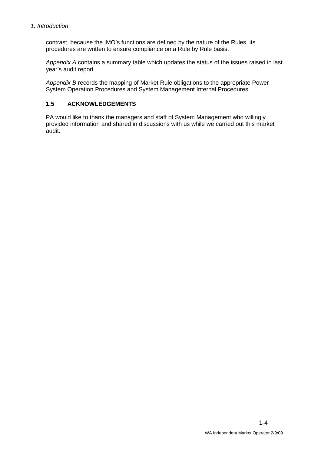contrast, because the IMO's functions are defined by the nature of the Rules, its procedures are written to ensure compliance on a Rule by Rule basis.

Appendix A contains a summary table which updates the status of the issues raised in last year's audit report.

Appendix B records the mapping of Market Rule obligations to the appropriate Power System Operation Procedures and System Management Internal Procedures.

## **1.5 ACKNOWLEDGEMENTS**

PA would like to thank the managers and staff of System Management who willingly provided information and shared in discussions with us while we carried out this market audit.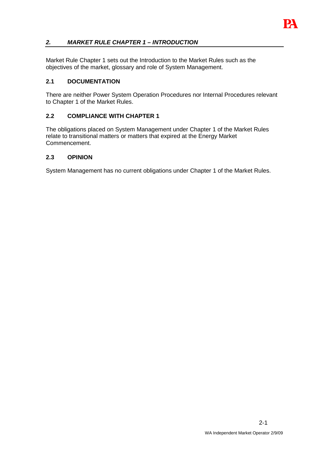

## **2. MARKET RULE CHAPTER 1 – INTRODUCTION**

Market Rule Chapter 1 sets out the Introduction to the Market Rules such as the objectives of the market, glossary and role of System Management.

#### **2.1 DOCUMENTATION**

There are neither Power System Operation Procedures nor Internal Procedures relevant to Chapter 1 of the Market Rules.

#### **2.2 COMPLIANCE WITH CHAPTER 1**

The obligations placed on System Management under Chapter 1 of the Market Rules relate to transitional matters or matters that expired at the Energy Market Commencement.

#### **2.3 OPINION**

System Management has no current obligations under Chapter 1 of the Market Rules.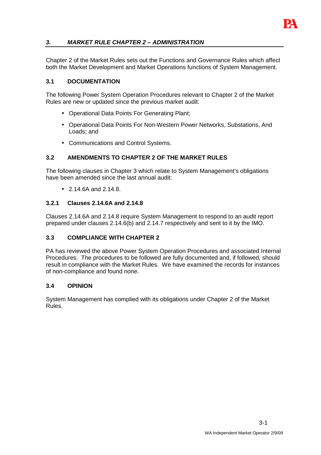

Chapter 2 of the Market Rules sets out the Functions and Governance Rules which affect both the Market Development and Market Operations functions of System Management.

## **3.1 DOCUMENTATION**

The following Power System Operation Procedures relevant to Chapter 2 of the Market Rules are new or updated since the previous market audit:

- Operational Data Points For Generating Plant;
- Operational Data Points For Non-Western Power Networks, Substations, And Loads; and
- Communications and Control Systems.

## **3.2 AMENDMENTS TO CHAPTER 2 OF THE MARKET RULES**

The following clauses in Chapter 3 which relate to System Management's obligations have been amended since the last annual audit:

• 2.14.6A and 2.14.8.

## **3.2.1 Clauses 2.14.6A and 2.14.8**

Clauses 2.14.6A and 2.14.8 require System Management to respond to an audit report prepared under clauses 2.14.6(b) and 2.14.7 respectively and sent to it by the IMO.

## **3.3 COMPLIANCE WITH CHAPTER 2**

PA has reviewed the above Power System Operation Procedures and associated Internal Procedures. The procedures to be followed are fully documented and, if followed, should result in compliance with the Market Rules. We have examined the records for instances of non-compliance and found none.

#### **3.4 OPINION**

System Management has complied with its obligations under Chapter 2 of the Market Rules.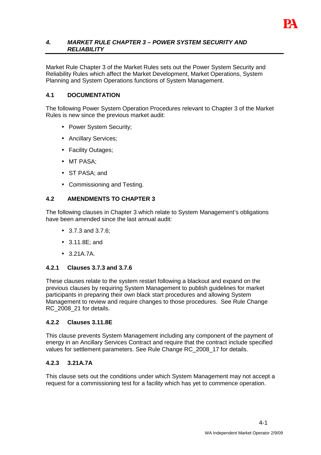

#### **4. MARKET RULE CHAPTER 3 – POWER SYSTEM SECURITY AND RELIABILITY**

Market Rule Chapter 3 of the Market Rules sets out the Power System Security and Reliability Rules which affect the Market Development, Market Operations, System Planning and System Operations functions of System Management.

## **4.1 DOCUMENTATION**

The following Power System Operation Procedures relevant to Chapter 3 of the Market Rules is new since the previous market audit:

- Power System Security;
- Ancillary Services;
- Facility Outages;
- MT PASA;
- ST PASA; and
- Commissioning and Testing.

## **4.2 AMENDMENTS TO CHAPTER 3**

The following clauses in Chapter 3 which relate to System Management's obligations have been amended since the last annual audit:

- 3.7.3 and 3.7.6;
- 3.11.8E; and
- 3.21A.7A.

#### **4.2.1 Clauses 3.7.3 and 3.7.6**

These clauses relate to the system restart following a blackout and expand on the previous clauses by requiring System Management to publish guidelines for market participants in preparing their own black start procedures and allowing System Management to review and require changes to those procedures. See Rule Change RC\_2008\_21 for details.

#### **4.2.2 Clauses 3.11.8E**

This clause prevents System Management including any component of the payment of energy in an Ancillary Services Contract and require that the contract include specified values for settlement parameters. See Rule Change RC\_2008\_17 for details.

#### **4.2.3 3.21A.7A**

This clause sets out the conditions under which System Management may not accept a request for a commissioning test for a facility which has yet to commence operation.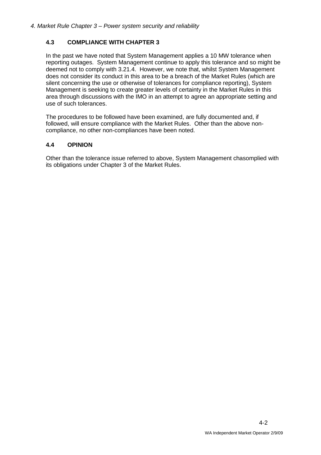## **4.3 COMPLIANCE WITH CHAPTER 3**

In the past we have noted that System Management applies a 10 MW tolerance when reporting outages. System Management continue to apply this tolerance and so might be deemed not to comply with 3.21.4. However, we note that, whilst System Management does not consider its conduct in this area to be a breach of the Market Rules (which are silent concerning the use or otherwise of tolerances for compliance reporting), System Management is seeking to create greater levels of certainty in the Market Rules in this area through discussions with the IMO in an attempt to agree an appropriate setting and use of such tolerances.

The procedures to be followed have been examined, are fully documented and, if followed, will ensure compliance with the Market Rules. Other than the above noncompliance, no other non-compliances have been noted.

#### **4.4 OPINION**

Other than the tolerance issue referred to above, System Management chasomplied with its obligations under Chapter 3 of the Market Rules.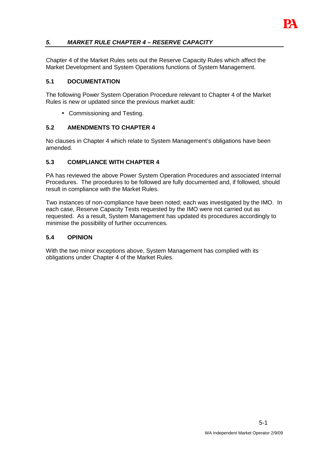## **5. MARKET RULE CHAPTER 4 – RESERVE CAPACITY**

Chapter 4 of the Market Rules sets out the Reserve Capacity Rules which affect the Market Development and System Operations functions of System Management.

## **5.1 DOCUMENTATION**

The following Power System Operation Procedure relevant to Chapter 4 of the Market Rules is new or updated since the previous market audit:

• Commissioning and Testing.

## **5.2 AMENDMENTS TO CHAPTER 4**

No clauses in Chapter 4 which relate to System Management's obligations have been amended.

## **5.3 COMPLIANCE WITH CHAPTER 4**

PA has reviewed the above Power System Operation Procedures and associated Internal Procedures. The procedures to be followed are fully documented and, if followed, should result in compliance with the Market Rules.

Two instances of non-compliance have been noted; each was investigated by the IMO. In each case, Reserve Capacity Tests requested by the IMO were not carried out as requested. As a result, System Management has updated its procedures accordingly to minimise the possibility of further occurrences.

#### **5.4 OPINION**

With the two minor exceptions above, System Management has complied with its obligations under Chapter 4 of the Market Rules.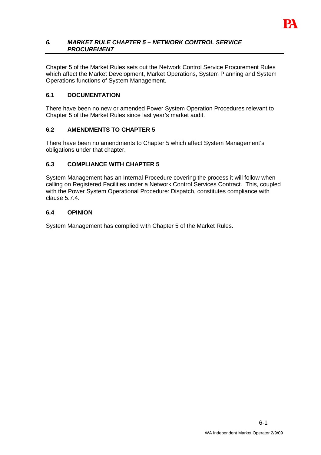

#### **6. MARKET RULE CHAPTER 5 – NETWORK CONTROL SERVICE PROCUREMENT**

Chapter 5 of the Market Rules sets out the Network Control Service Procurement Rules which affect the Market Development, Market Operations, System Planning and System Operations functions of System Management.

## **6.1 DOCUMENTATION**

There have been no new or amended Power System Operation Procedures relevant to Chapter 5 of the Market Rules since last year's market audit.

#### **6.2 AMENDMENTS TO CHAPTER 5**

There have been no amendments to Chapter 5 which affect System Management's obligations under that chapter.

## **6.3 COMPLIANCE WITH CHAPTER 5**

System Management has an Internal Procedure covering the process it will follow when calling on Registered Facilities under a Network Control Services Contract. This, coupled with the Power System Operational Procedure: Dispatch, constitutes compliance with clause 5.7.4.

## **6.4 OPINION**

System Management has complied with Chapter 5 of the Market Rules.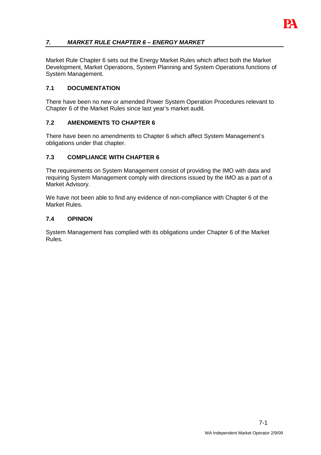## **7. MARKET RULE CHAPTER 6 – ENERGY MARKET**

Market Rule Chapter 6 sets out the Energy Market Rules which affect both the Market Development, Market Operations, System Planning and System Operations functions of System Management.

## **7.1 DOCUMENTATION**

There have been no new or amended Power System Operation Procedures relevant to Chapter 6 of the Market Rules since last year's market audit.

## **7.2 AMENDMENTS TO CHAPTER 6**

There have been no amendments to Chapter 6 which affect System Management's obligations under that chapter.

## **7.3 COMPLIANCE WITH CHAPTER 6**

The requirements on System Management consist of providing the IMO with data and requiring System Management comply with directions issued by the IMO as a part of a Market Advisory.

We have not been able to find any evidence of non-compliance with Chapter 6 of the Market Rules.

#### **7.4 OPINION**

System Management has complied with its obligations under Chapter 6 of the Market Rules.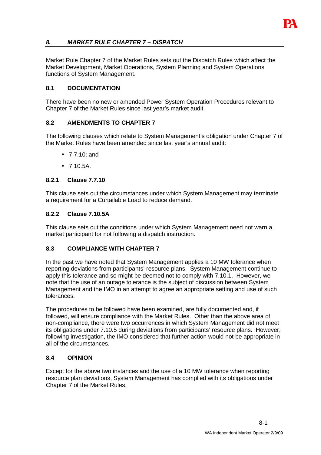

## **8. MARKET RULE CHAPTER 7 – DISPATCH**

Market Rule Chapter 7 of the Market Rules sets out the Dispatch Rules which affect the Market Development, Market Operations, System Planning and System Operations functions of System Management.

#### **8.1 DOCUMENTATION**

There have been no new or amended Power System Operation Procedures relevant to Chapter 7 of the Market Rules since last year's market audit.

#### **8.2 AMENDMENTS TO CHAPTER 7**

The following clauses which relate to System Management's obligation under Chapter 7 of the Market Rules have been amended since last year's annual audit:

- 7.7.10; and
- 7.10.5A.

#### **8.2.1 Clause 7.7.10**

This clause sets out the circumstances under which System Management may terminate a requirement for a Curtailable Load to reduce demand.

#### **8.2.2 Clause 7.10.5A**

This clause sets out the conditions under which System Management need not warn a market participant for not following a dispatch instruction.

#### **8.3 COMPLIANCE WITH CHAPTER 7**

In the past we have noted that System Management applies a 10 MW tolerance when reporting deviations from participants' resource plans. System Management continue to apply this tolerance and so might be deemed not to comply with 7.10.1. However, we note that the use of an outage tolerance is the subject of discussion between System Management and the IMO in an attempt to agree an appropriate setting and use of such tolerances.

The procedures to be followed have been examined, are fully documented and, if followed, will ensure compliance with the Market Rules. Other than the above area of non-compliance, there were two occurrences in which System Management did not meet its obligations under 7.10.5 during deviations from participants' resource plans. However, following investigation, the IMO considered that further action would not be appropriate in all of the circumstances.

#### **8.4 OPINION**

Except for the above two instances and the use of a 10 MW tolerance when reporting resource plan deviations, System Management has complied with its obligations under Chapter 7 of the Market Rules.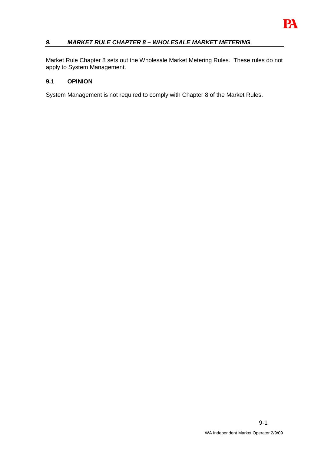

## **9. MARKET RULE CHAPTER 8 – WHOLESALE MARKET METERING**

Market Rule Chapter 8 sets out the Wholesale Market Metering Rules. These rules do not apply to System Management.

#### **9.1 OPINION**

System Management is not required to comply with Chapter 8 of the Market Rules.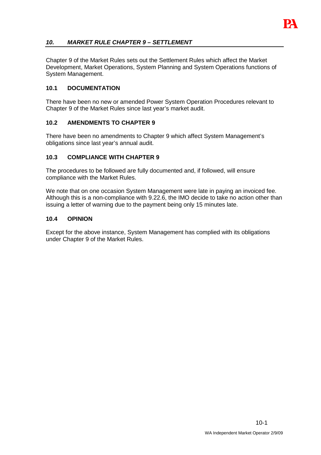## **10. MARKET RULE CHAPTER 9 – SETTLEMENT**

Chapter 9 of the Market Rules sets out the Settlement Rules which affect the Market Development, Market Operations, System Planning and System Operations functions of System Management.

## **10.1 DOCUMENTATION**

There have been no new or amended Power System Operation Procedures relevant to Chapter 9 of the Market Rules since last year's market audit.

## **10.2 AMENDMENTS TO CHAPTER 9**

There have been no amendments to Chapter 9 which affect System Management's obligations since last year's annual audit.

## **10.3 COMPLIANCE WITH CHAPTER 9**

The procedures to be followed are fully documented and, if followed, will ensure compliance with the Market Rules.

We note that on one occasion System Management were late in paying an invoiced fee. Although this is a non-compliance with 9.22.6, the IMO decide to take no action other than issuing a letter of warning due to the payment being only 15 minutes late.

#### **10.4 OPINION**

Except for the above instance, System Management has complied with its obligations under Chapter 9 of the Market Rules.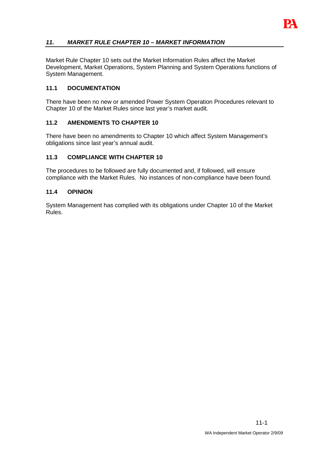

Market Rule Chapter 10 sets out the Market Information Rules affect the Market Development, Market Operations, System Planning and System Operations functions of System Management.

## **11.1 DOCUMENTATION**

There have been no new or amended Power System Operation Procedures relevant to Chapter 10 of the Market Rules since last year's market audit.

#### **11.2 AMENDMENTS TO CHAPTER 10**

There have been no amendments to Chapter 10 which affect System Management's obligations since last year's annual audit.

## **11.3 COMPLIANCE WITH CHAPTER 10**

The procedures to be followed are fully documented and, if followed, will ensure compliance with the Market Rules. No instances of non-compliance have been found.

#### **11.4 OPINION**

System Management has complied with its obligations under Chapter 10 of the Market Rules.

IРД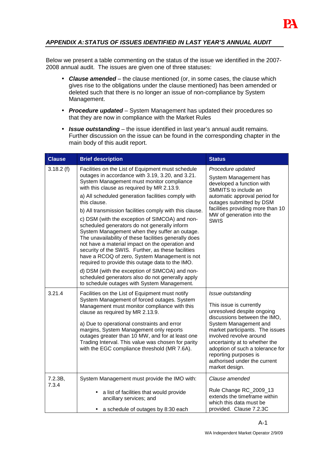

## **APPENDIX A: STATUS OF ISSUES IDENTIFIED IN LAST YEAR'S ANNUAL AUDIT**

Below we present a table commenting on the status of the issue we identified in the 2007- 2008 annual audit. The issues are given one of three statuses:

- **Clause amended** the clause mentioned (or, in some cases, the clause which gives rise to the obligations under the clause mentioned) has been amended or deleted such that there is no longer an issue of non-compliance by System Management.
- **Procedure updated**  System Management has updated their procedures so that they are now in compliance with the Market Rules
- **Issue outstanding** the issue identified in last year's annual audit remains. Further discussion on the issue can be found in the corresponding chapter in the main body of this audit report.

| <b>Clause</b>    | <b>Brief description</b>                                                                                                                                                                                                                                                                                                                                                                                                                                                                                                                                                                                                                                                                                                                                                                                                                                          | <b>Status</b>                                                                                                                                                                                                                                                                                                                |  |
|------------------|-------------------------------------------------------------------------------------------------------------------------------------------------------------------------------------------------------------------------------------------------------------------------------------------------------------------------------------------------------------------------------------------------------------------------------------------------------------------------------------------------------------------------------------------------------------------------------------------------------------------------------------------------------------------------------------------------------------------------------------------------------------------------------------------------------------------------------------------------------------------|------------------------------------------------------------------------------------------------------------------------------------------------------------------------------------------------------------------------------------------------------------------------------------------------------------------------------|--|
| 3.18.2(f)        | Facilities on the List of Equipment must schedule<br>outages in accordance with 3.19, 3.20, and 3.21.<br>System Management must monitor compliance<br>with this clause as required by MR 2.13.9.<br>a) All scheduled generation facilities comply with<br>this clause.<br>b) All transmission facilities comply with this clause.<br>c) DSM (with the exception of SIMCOA) and non-<br>scheduled generators do not generally inform<br>System Management when they suffer an outage.<br>The unavailability of these facilities generally does<br>not have a material impact on the operation and<br>security of the SWIS. Further, as these facilities<br>have a RCOQ of zero, System Management is not<br>required to provide this outage data to the IMO.<br>d) DSM (with the exception of SIMCOA) and non-<br>scheduled generators also do not generally apply | Procedure updated<br>System Management has<br>developed a function with<br>SMMITS to include an<br>automatic approval period for<br>outages submitted by DSM<br>facilities providing more than 10<br>MW of generation into the<br><b>SWIS</b>                                                                                |  |
| 3.21.4           | to schedule outages with System Management.<br>Facilities on the List of Equipment must notify                                                                                                                                                                                                                                                                                                                                                                                                                                                                                                                                                                                                                                                                                                                                                                    | Issue outstanding                                                                                                                                                                                                                                                                                                            |  |
|                  | System Management of forced outages. System<br>Management must monitor compliance with this<br>clause as required by MR 2.13.9.<br>a) Due to operational constraints and error<br>margins, System Management only reports<br>outages greater than 10 MW, and for at least one<br>Trading Interval. This value was chosen for parity<br>with the EGC compliance threshold (MR 7.6A).                                                                                                                                                                                                                                                                                                                                                                                                                                                                               | This issue is currently<br>unresolved despite ongoing<br>discussions between the IMO,<br>System Management and<br>market participants. The issues<br>involved revolve around<br>uncertainty at to whether the<br>adoption of such a tolerance for<br>reporting purposes is<br>authorised under the current<br>market design. |  |
| 7.2.3B,<br>7.3.4 | System Management must provide the IMO with:                                                                                                                                                                                                                                                                                                                                                                                                                                                                                                                                                                                                                                                                                                                                                                                                                      | Clause amended                                                                                                                                                                                                                                                                                                               |  |
|                  | a list of facilities that would provide<br>ancillary services; and<br>a schedule of outages by 8:30 each                                                                                                                                                                                                                                                                                                                                                                                                                                                                                                                                                                                                                                                                                                                                                          | Rule Change RC_2009_13<br>extends the timeframe within<br>which this data must be<br>provided. Clause 7.2.3C                                                                                                                                                                                                                 |  |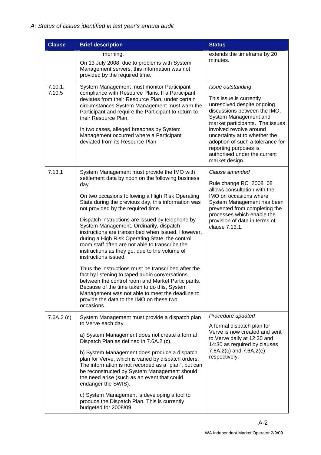| <b>Clause</b>     | <b>Brief description</b>                                                                                                                                                                                                                                                                                                                                                                                                                                                                                                                                                                                                                                                                                                                                                                                                                                                                                                 | <b>Status</b>                                                                                                                                                                                                                                                                                                                                     |
|-------------------|--------------------------------------------------------------------------------------------------------------------------------------------------------------------------------------------------------------------------------------------------------------------------------------------------------------------------------------------------------------------------------------------------------------------------------------------------------------------------------------------------------------------------------------------------------------------------------------------------------------------------------------------------------------------------------------------------------------------------------------------------------------------------------------------------------------------------------------------------------------------------------------------------------------------------|---------------------------------------------------------------------------------------------------------------------------------------------------------------------------------------------------------------------------------------------------------------------------------------------------------------------------------------------------|
|                   | morning.<br>On 13 July 2008, due to problems with System<br>Management servers, this information was not<br>provided by the required time.                                                                                                                                                                                                                                                                                                                                                                                                                                                                                                                                                                                                                                                                                                                                                                               | extends the timeframe by 20<br>minutes.                                                                                                                                                                                                                                                                                                           |
| 7.10.1,<br>7.10.5 | System Management must monitor Participant<br>compliance with Resource Plans. If a Participant<br>deviates from their Resource Plan, under certain<br>circumstances System Management must warn the<br>Participant and require the Participant to return to<br>their Resource Plan.<br>In two cases, alleged breaches by System<br>Management occurred where a Participant<br>deviated from its Resource Plan                                                                                                                                                                                                                                                                                                                                                                                                                                                                                                            | Issue outstanding<br>This issue is currently<br>unresolved despite ongoing<br>discussions between the IMO,<br>System Management and<br>market participants. The issues<br>involved revolve around<br>uncertainty at to whether the<br>adoption of such a tolerance for<br>reporting purposes is<br>authorised under the current<br>market design. |
| 7.13.1            | System Management must provide the IMO with<br>settlement data by noon on the following business<br>day.<br>On two occasions following a High Risk Operating<br>State during the previous day, this information was<br>not provided by the required time.<br>Dispatch instructions are issued by telephone by<br>System Management. Ordinarily, dispatch<br>instructions are transcribed when issued. However,<br>during a High Risk Operating State, the control<br>room staff often are not able to transcribe the<br>instructions as they go, due to the volume of<br>instructions issued.<br>Thus the instructions must be transcribed after the<br>fact by listening to taped audio conversations<br>between the control room and Market Participants.<br>Because of the time taken to do this, System<br>Management was not able to meet the deadline to<br>provide the data to the IMO on these two<br>occasions. | Clause amended<br>Rule change RC_2008_08<br>allows consultation with the<br>IMO on occasions where<br>System Management has been<br>prevented from completing the<br>processes which enable the<br>provision of data in terms of<br>clause 7.13.1.                                                                                                |
| 7.6A.2(c)         | System Management must provide a dispatch plan<br>to Verve each day.<br>a) System Management does not create a formal<br>Dispatch Plan as defined in 7.6A.2 (c).<br>b) System Management does produce a dispatch<br>plan for Verve, which is varied by dispatch orders.<br>The information is not recorded as a "plan", but can<br>be reconstructed by System Management should<br>the need arise (such as an event that could<br>endanger the SWIS).<br>c) System Management is developing a tool to<br>produce the Dispatch Plan. This is currently<br>budgeted for 2008/09.                                                                                                                                                                                                                                                                                                                                           | Procedure updated<br>A formal dispatch plan for<br>Verve is now created and sent<br>to Verve daily at 12:30 and<br>14:30 as required by clauses<br>$7.6A.2(c)$ and $7.6A.2(e)$<br>respectively.                                                                                                                                                   |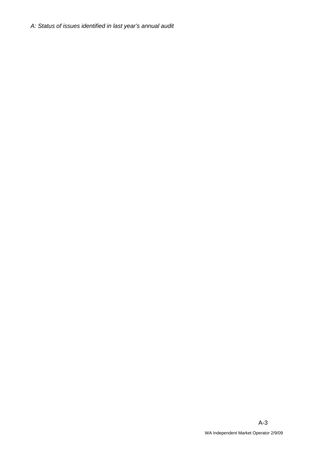A: Status of issues identified in last year's annual audit